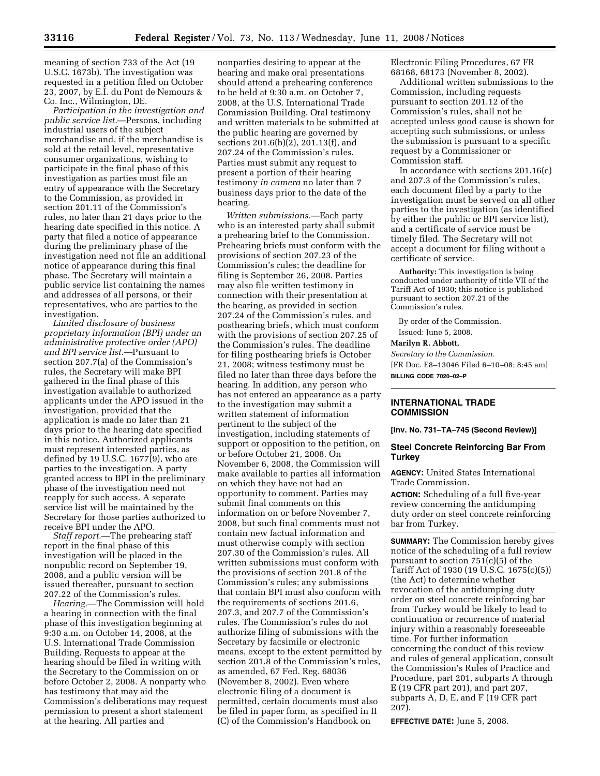meaning of section 733 of the Act (19 U.S.C. 1673b). The investigation was requested in a petition filed on October 23, 2007, by E.I. du Pont de Nemours & Co. Inc., Wilmington, DE.

*Participation in the investigation and public service list.*—Persons, including industrial users of the subject merchandise and, if the merchandise is sold at the retail level, representative consumer organizations, wishing to participate in the final phase of this investigation as parties must file an entry of appearance with the Secretary to the Commission, as provided in section 201.11 of the Commission's rules, no later than 21 days prior to the hearing date specified in this notice. A party that filed a notice of appearance during the preliminary phase of the investigation need not file an additional notice of appearance during this final phase. The Secretary will maintain a public service list containing the names and addresses of all persons, or their representatives, who are parties to the investigation.

*Limited disclosure of business proprietary information (BPI) under an administrative protective order (APO) and BPI service list.*—Pursuant to section 207.7(a) of the Commission's rules, the Secretary will make BPI gathered in the final phase of this investigation available to authorized applicants under the APO issued in the investigation, provided that the application is made no later than 21 days prior to the hearing date specified in this notice. Authorized applicants must represent interested parties, as defined by 19 U.S.C. 1677(9), who are parties to the investigation. A party granted access to BPI in the preliminary phase of the investigation need not reapply for such access. A separate service list will be maintained by the Secretary for those parties authorized to receive BPI under the APO.

*Staff report.*—The prehearing staff report in the final phase of this investigation will be placed in the nonpublic record on September 19, 2008, and a public version will be issued thereafter, pursuant to section 207.22 of the Commission's rules.

*Hearing.*—The Commission will hold a hearing in connection with the final phase of this investigation beginning at 9:30 a.m. on October 14, 2008, at the U.S. International Trade Commission Building. Requests to appear at the hearing should be filed in writing with the Secretary to the Commission on or before October 2, 2008. A nonparty who has testimony that may aid the Commission's deliberations may request permission to present a short statement at the hearing. All parties and

nonparties desiring to appear at the hearing and make oral presentations should attend a prehearing conference to be held at 9:30 a.m. on October 7, 2008, at the U.S. International Trade Commission Building. Oral testimony and written materials to be submitted at the public hearing are governed by sections 201.6(b)(2), 201.13(f), and 207.24 of the Commission's rules. Parties must submit any request to present a portion of their hearing testimony *in camera* no later than 7 business days prior to the date of the hearing.

*Written submissions.*—Each party who is an interested party shall submit a prehearing brief to the Commission. Prehearing briefs must conform with the provisions of section 207.23 of the Commission's rules; the deadline for filing is September 26, 2008. Parties may also file written testimony in connection with their presentation at the hearing, as provided in section 207.24 of the Commission's rules, and posthearing briefs, which must conform with the provisions of section 207.25 of the Commission's rules. The deadline for filing posthearing briefs is October 21, 2008; witness testimony must be filed no later than three days before the hearing. In addition, any person who has not entered an appearance as a party to the investigation may submit a written statement of information pertinent to the subject of the investigation, including statements of support or opposition to the petition, on or before October 21, 2008. On November 6, 2008, the Commission will make available to parties all information on which they have not had an opportunity to comment. Parties may submit final comments on this information on or before November 7, 2008, but such final comments must not contain new factual information and must otherwise comply with section 207.30 of the Commission's rules. All written submissions must conform with the provisions of section 201.8 of the Commission's rules; any submissions that contain BPI must also conform with the requirements of sections 201.6, 207.3, and 207.7 of the Commission's rules. The Commission's rules do not authorize filing of submissions with the Secretary by facsimile or electronic means, except to the extent permitted by section 201.8 of the Commission's rules, as amended, 67 Fed. Reg. 68036 (November 8, 2002). Even where electronic filing of a document is permitted, certain documents must also be filed in paper form, as specified in II (C) of the Commission's Handbook on

Electronic Filing Procedures, 67 FR 68168, 68173 (November 8, 2002).

Additional written submissions to the Commission, including requests pursuant to section 201.12 of the Commission's rules, shall not be accepted unless good cause is shown for accepting such submissions, or unless the submission is pursuant to a specific request by a Commissioner or Commission staff.

In accordance with sections 201.16(c) and 207.3 of the Commission's rules, each document filed by a party to the investigation must be served on all other parties to the investigation (as identified by either the public or BPI service list), and a certificate of service must be timely filed. The Secretary will not accept a document for filing without a certificate of service.

**Authority:** This investigation is being conducted under authority of title VII of the Tariff Act of 1930; this notice is published pursuant to section 207.21 of the Commission's rules.

By order of the Commission. Issued: June 5, 2008.

#### **Marilyn R. Abbott,**

*Secretary to the Commission.*  [FR Doc. E8–13046 Filed 6–10–08; 8:45 am] **BILLING CODE 7020–02–P** 

## **INTERNATIONAL TRADE COMMISSION**

**[Inv. No. 731–TA–745 (Second Review)]** 

## **Steel Concrete Reinforcing Bar From Turkey**

**AGENCY:** United States International Trade Commission.

**ACTION:** Scheduling of a full five-year review concerning the antidumping duty order on steel concrete reinforcing bar from Turkey.

**SUMMARY:** The Commission hereby gives notice of the scheduling of a full review pursuant to section 751(c)(5) of the Tariff Act of 1930 (19 U.S.C. 1675(c)(5)) (the Act) to determine whether revocation of the antidumping duty order on steel concrete reinforcing bar from Turkey would be likely to lead to continuation or recurrence of material injury within a reasonably foreseeable time. For further information concerning the conduct of this review and rules of general application, consult the Commission's Rules of Practice and Procedure, part 201, subparts A through E (19 CFR part 201), and part 207, subparts A, D, E, and F (19 CFR part 207).

**EFFECTIVE DATE:** June 5, 2008.